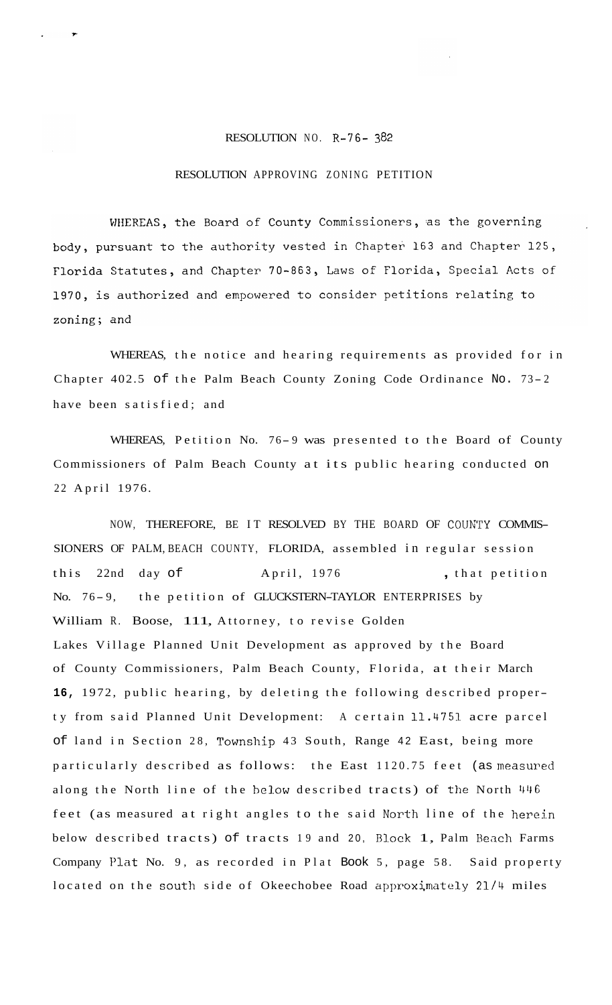## RESOLUTION NO. R-76- *382*

## RESOLUTION APPROVING ZONING PETITION

WHEREAS, the Board of County Commissioners, as the governing body, pursuant to the authority vested in Chapter 163 and Chapter 125, Florida Statutes, and Chapter 70-863, Laws of Florida, Special Acts of 1970, is authorized and empowered to consider petitions relating to zoning; and

WHEREAS, the notice and hearing requirements as provided for in Chapter 402.5 of the Palm Beach County Zoning Code Ordinance No. 73-2 have been satisfied; and

WHEREAS, Petition No. 76-9 was presented to the Board of County Commissioners of Palm Beach County at its public hearing conducted on 22 April 1976.

NOW, THEREFORE, BE IT RESOLVED BY THE BOARD OF COUNTY COMMIS-SIONERS OF PALM, BEACH COUNTY, FLORIDA, assembled in regular session this 22nd day of April, 1976 , that petition No. 76-9, the petition of GLUCKSTERN-TAYLOR ENTERPRISES by William R. Boose, 111, Attorney, to revise Golden Lakes Village Planned Unit Development as approved by the Board of County Commissioners, Palm Beach County, Florida, at their March **16,** 1972, public hearing, by deleting the following described property from said Planned Unit Development: A certain 11.4751. acre parcel of land in Section 28, Township 43 South, Range 42 East, being more particularly described as follows: the East 1120.75 feet (as measured along the North line of the below described tracts) of the North 446 feet (as measured at right angles to the said North line of the herein below described tracts) of tracts 19 and 20, Block 1, Palm Beach Farms Company Plat No. 9, as recorded in Plat Book 5, page 58. Said property located on the south side of Okeechobee Road approximately 21/4 miles